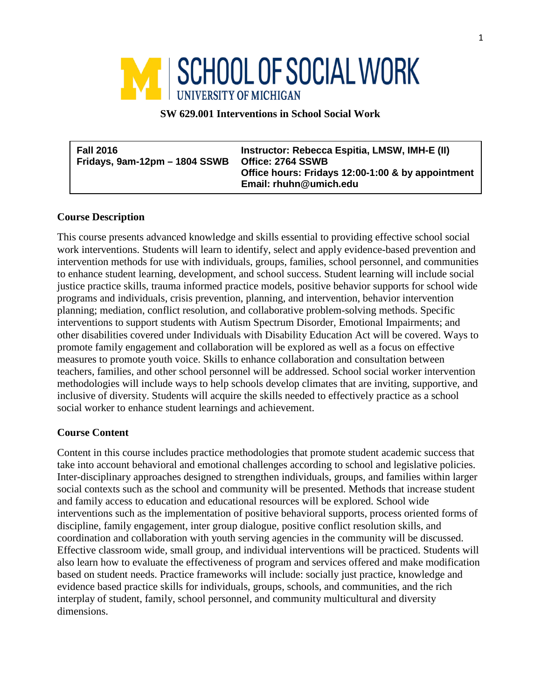

#### **SW 629.001 Interventions in School Social Work**

| <b>Fall 2016</b>              | Instructor: Rebecca Espitia, LMSW, IMH-E (II)     |
|-------------------------------|---------------------------------------------------|
| Fridays, 9am-12pm – 1804 SSWB | Office: 2764 SSWB                                 |
|                               | Office hours: Fridays 12:00-1:00 & by appointment |
|                               | Email: rhuhn@umich.edu                            |

### **Course Description**

This course presents advanced knowledge and skills essential to providing effective school social work interventions. Students will learn to identify, select and apply evidence-based prevention and intervention methods for use with individuals, groups, families, school personnel, and communities to enhance student learning, development, and school success. Student learning will include social justice practice skills, trauma informed practice models, positive behavior supports for school wide programs and individuals, crisis prevention, planning, and intervention, behavior intervention planning; mediation, conflict resolution, and collaborative problem-solving methods. Specific interventions to support students with Autism Spectrum Disorder, Emotional Impairments; and other disabilities covered under Individuals with Disability Education Act will be covered. Ways to promote family engagement and collaboration will be explored as well as a focus on effective measures to promote youth voice. Skills to enhance collaboration and consultation between teachers, families, and other school personnel will be addressed. School social worker intervention methodologies will include ways to help schools develop climates that are inviting, supportive, and inclusive of diversity. Students will acquire the skills needed to effectively practice as a school social worker to enhance student learnings and achievement.

#### **Course Content**

Content in this course includes practice methodologies that promote student academic success that take into account behavioral and emotional challenges according to school and legislative policies. Inter-disciplinary approaches designed to strengthen individuals, groups, and families within larger social contexts such as the school and community will be presented. Methods that increase student and family access to education and educational resources will be explored. School wide interventions such as the implementation of positive behavioral supports, process oriented forms of discipline, family engagement, inter group dialogue, positive conflict resolution skills, and coordination and collaboration with youth serving agencies in the community will be discussed. Effective classroom wide, small group, and individual interventions will be practiced. Students will also learn how to evaluate the effectiveness of program and services offered and make modification based on student needs. Practice frameworks will include: socially just practice, knowledge and evidence based practice skills for individuals, groups, schools, and communities, and the rich interplay of student, family, school personnel, and community multicultural and diversity dimensions.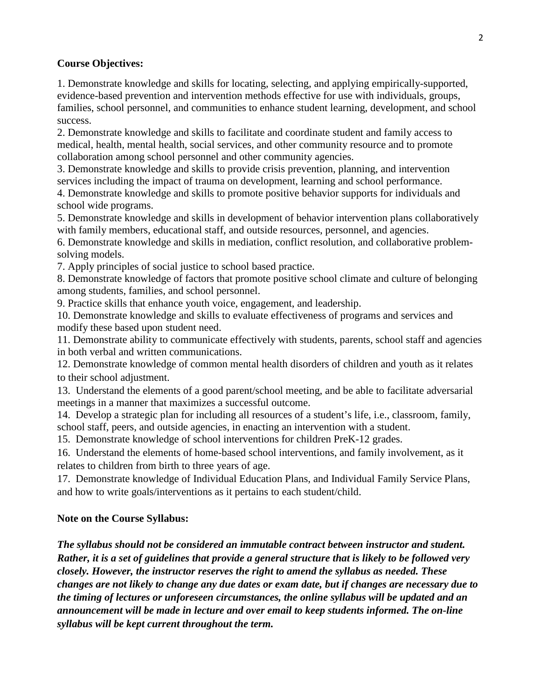#### **Course Objectives:**

1. Demonstrate knowledge and skills for locating, selecting, and applying empirically-supported, evidence-based prevention and intervention methods effective for use with individuals, groups, families, school personnel, and communities to enhance student learning, development, and school success.

2. Demonstrate knowledge and skills to facilitate and coordinate student and family access to medical, health, mental health, social services, and other community resource and to promote collaboration among school personnel and other community agencies.

3. Demonstrate knowledge and skills to provide crisis prevention, planning, and intervention services including the impact of trauma on development, learning and school performance.

4. Demonstrate knowledge and skills to promote positive behavior supports for individuals and school wide programs.

5. Demonstrate knowledge and skills in development of behavior intervention plans collaboratively with family members, educational staff, and outside resources, personnel, and agencies.

6. Demonstrate knowledge and skills in mediation, conflict resolution, and collaborative problemsolving models.

7. Apply principles of social justice to school based practice.

8. Demonstrate knowledge of factors that promote positive school climate and culture of belonging among students, families, and school personnel.

9. Practice skills that enhance youth voice, engagement, and leadership.

10. Demonstrate knowledge and skills to evaluate effectiveness of programs and services and modify these based upon student need.

11. Demonstrate ability to communicate effectively with students, parents, school staff and agencies in both verbal and written communications.

12. Demonstrate knowledge of common mental health disorders of children and youth as it relates to their school adjustment.

13. Understand the elements of a good parent/school meeting, and be able to facilitate adversarial meetings in a manner that maximizes a successful outcome.

14. Develop a strategic plan for including all resources of a student's life, i.e., classroom, family, school staff, peers, and outside agencies, in enacting an intervention with a student.

15. Demonstrate knowledge of school interventions for children PreK-12 grades.

16. Understand the elements of home-based school interventions, and family involvement, as it relates to children from birth to three years of age.

17. Demonstrate knowledge of Individual Education Plans, and Individual Family Service Plans, and how to write goals/interventions as it pertains to each student/child.

#### **Note on the Course Syllabus:**

*The syllabus should not be considered an immutable contract between instructor and student. Rather, it is a set of guidelines that provide a general structure that is likely to be followed very closely. However, the instructor reserves the right to amend the syllabus as needed. These changes are not likely to change any due dates or exam date, but if changes are necessary due to the timing of lectures or unforeseen circumstances, the online syllabus will be updated and an announcement will be made in lecture and over email to keep students informed. The on-line syllabus will be kept current throughout the term.*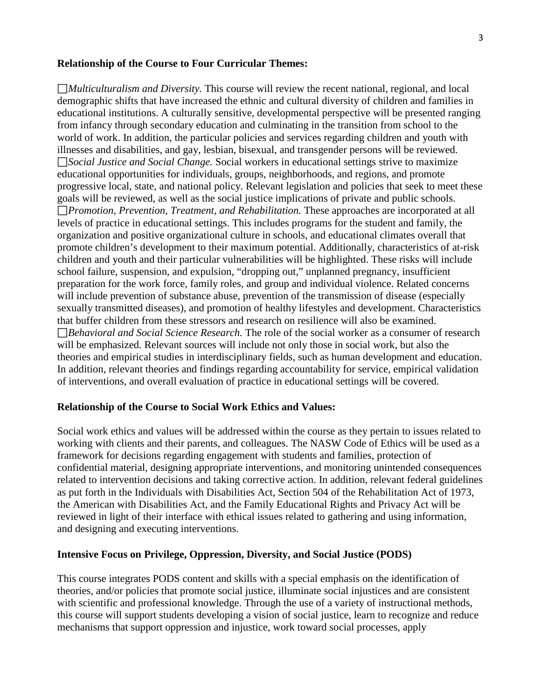#### **Relationship of the Course to Four Curricular Themes:**

*Multiculturalism and Diversity.* This course will review the recent national, regional, and local demographic shifts that have increased the ethnic and cultural diversity of children and families in educational institutions. A culturally sensitive, developmental perspective will be presented ranging from infancy through secondary education and culminating in the transition from school to the world of work. In addition, the particular policies and services regarding children and youth with illnesses and disabilities, and gay, lesbian, bisexual, and transgender persons will be reviewed. *Social Justice and Social Change.* Social workers in educational settings strive to maximize educational opportunities for individuals, groups, neighborhoods, and regions, and promote progressive local, state, and national policy. Relevant legislation and policies that seek to meet these goals will be reviewed, as well as the social justice implications of private and public schools. *Promotion, Prevention, Treatment, and Rehabilitation.* These approaches are incorporated at all levels of practice in educational settings. This includes programs for the student and family, the organization and positive organizational culture in schools, and educational climates overall that promote children's development to their maximum potential. Additionally, characteristics of at-risk children and youth and their particular vulnerabilities will be highlighted. These risks will include school failure, suspension, and expulsion, "dropping out," unplanned pregnancy, insufficient preparation for the work force, family roles, and group and individual violence. Related concerns will include prevention of substance abuse, prevention of the transmission of disease (especially sexually transmitted diseases), and promotion of healthy lifestyles and development. Characteristics that buffer children from these stressors and research on resilience will also be examined. *Behavioral and Social Science Research.* The role of the social worker as a consumer of research will be emphasized. Relevant sources will include not only those in social work, but also the theories and empirical studies in interdisciplinary fields, such as human development and education. In addition, relevant theories and findings regarding accountability for service, empirical validation of interventions, and overall evaluation of practice in educational settings will be covered.

#### **Relationship of the Course to Social Work Ethics and Values:**

Social work ethics and values will be addressed within the course as they pertain to issues related to working with clients and their parents, and colleagues. The NASW Code of Ethics will be used as a framework for decisions regarding engagement with students and families, protection of confidential material, designing appropriate interventions, and monitoring unintended consequences related to intervention decisions and taking corrective action. In addition, relevant federal guidelines as put forth in the Individuals with Disabilities Act, Section 504 of the Rehabilitation Act of 1973, the American with Disabilities Act, and the Family Educational Rights and Privacy Act will be reviewed in light of their interface with ethical issues related to gathering and using information, and designing and executing interventions.

#### **Intensive Focus on Privilege, Oppression, Diversity, and Social Justice (PODS)**

This course integrates PODS content and skills with a special emphasis on the identification of theories, and/or policies that promote social justice, illuminate social injustices and are consistent with scientific and professional knowledge. Through the use of a variety of instructional methods, this course will support students developing a vision of social justice, learn to recognize and reduce mechanisms that support oppression and injustice, work toward social processes, apply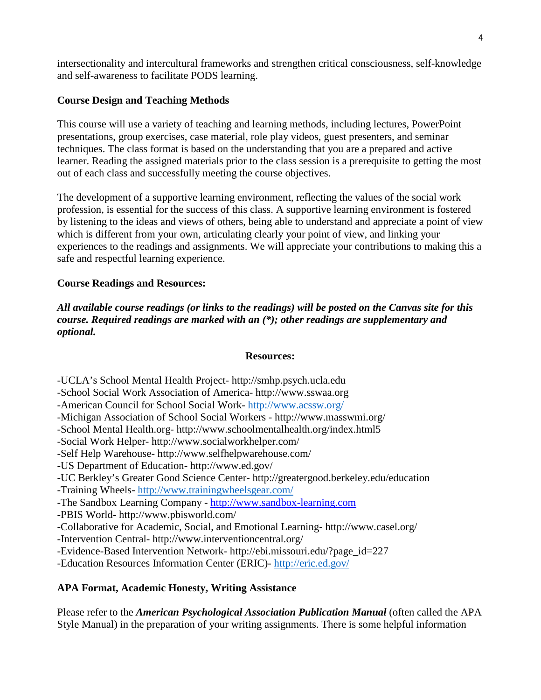intersectionality and intercultural frameworks and strengthen critical consciousness, self-knowledge and self-awareness to facilitate PODS learning.

# **Course Design and Teaching Methods**

This course will use a variety of teaching and learning methods, including lectures, PowerPoint presentations, group exercises, case material, role play videos, guest presenters, and seminar techniques. The class format is based on the understanding that you are a prepared and active learner. Reading the assigned materials prior to the class session is a prerequisite to getting the most out of each class and successfully meeting the course objectives.

The development of a supportive learning environment, reflecting the values of the social work profession, is essential for the success of this class. A supportive learning environment is fostered by listening to the ideas and views of others, being able to understand and appreciate a point of view which is different from your own, articulating clearly your point of view, and linking your experiences to the readings and assignments. We will appreciate your contributions to making this a safe and respectful learning experience.

# **Course Readings and Resources:**

*All available course readings (or links to the readings) will be posted on the Canvas site for this course. Required readings are marked with an (\*); other readings are supplementary and optional.*

# **Resources:**

-UCLA's School Mental Health Project- http://smhp.psych.ucla.edu

-School Social Work Association of America- http://www.sswaa.org

- -American Council for School Social Work- <http://www.acssw.org/>
- -Michigan Association of School Social Workers http://www.masswmi.org/
- -School Mental Health.org- http://www.schoolmentalhealth.org/index.html5
- -Social Work Helper- http://www.socialworkhelper.com/
- -Self Help Warehouse- http://www.selfhelpwarehouse.com/
- -US Department of Education- http://www.ed.gov/
- -UC Berkley's Greater Good Science Center- http://greatergood.berkeley.edu/education

-Training Wheels- <http://www.trainingwheelsgear.com/>

-The Sandbox Learning Company - [http://www.sandbox-learning.com](http://r20.rs6.net/tn.jsp?f=001kRnUb2xNvwgZFcoDGOul3Yj4vxBzHnaStrhqWSfoae-ACa2TIgjX1dxC6_Z_9DSNQfsZeaZejLbW3c0Ml8CMzuvZl3yA0J0P6Hd6e0O_a99uxs1eMHQ0OEG34X4WIUbAGRp4U4eL1S5zZh7YeQ1weBOOGOPvqR9wKa0Uq75xxzd1aWwxFVvDVhwR_6SO6gD1L_PvhQVSNPNahgQi59Vq0KOrjM4iRmeOxQADl54NLMDqpqYgV5cpGzMOaHRb7q9GiqzcldN92ADuU-zZKgP8STOFR4McyTdKl6ikIEOlt1LGWvttg86dEA==&c=JTz6stOO_X2yGU4wrvPpgkVh63xy4_ObEMW4igI97PO6SYG7QDQW1w==&ch=yurtLnIbtwmls9AnA2xuJQJsO2O9kNkcOdjcK9Y9l3tltyUPSZd59g==)

-PBIS World- http://www.pbisworld.com/

-Collaborative for Academic, Social, and Emotional Learning- http://www.casel.org/

-Intervention Central- http://www.interventioncentral.org/

-Evidence-Based Intervention Network- http://ebi.missouri.edu/?page\_id=227

-Education Resources Information Center (ERIC)- <http://eric.ed.gov/>

# **APA Format, Academic Honesty, Writing Assistance**

Please refer to the *American Psychological Association Publication Manual* (often called the APA Style Manual) in the preparation of your writing assignments. There is some helpful information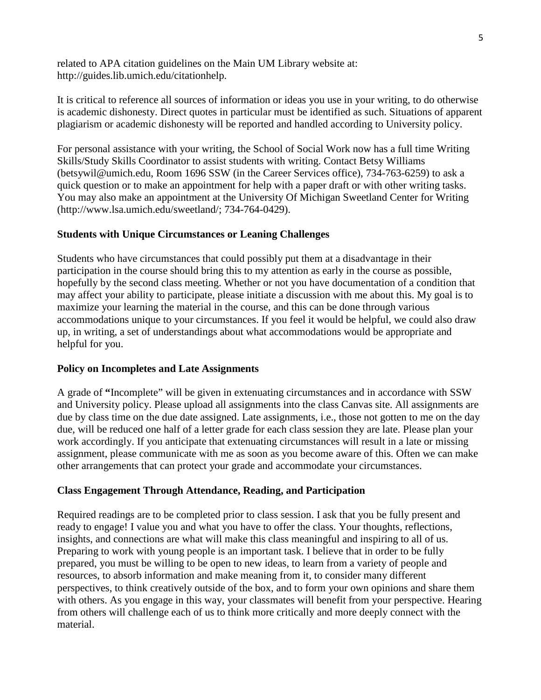related to APA citation guidelines on the Main UM Library website at: http://guides.lib.umich.edu/citationhelp.

It is critical to reference all sources of information or ideas you use in your writing, to do otherwise is academic dishonesty. Direct quotes in particular must be identified as such. Situations of apparent plagiarism or academic dishonesty will be reported and handled according to University policy.

For personal assistance with your writing, the School of Social Work now has a full time Writing Skills/Study Skills Coordinator to assist students with writing. Contact Betsy Williams (betsywil@umich.edu, Room 1696 SSW (in the Career Services office), 734-763-6259) to ask a quick question or to make an appointment for help with a paper draft or with other writing tasks. You may also make an appointment at the University Of Michigan Sweetland Center for Writing (http://www.lsa.umich.edu/sweetland/; 734-764-0429).

#### **Students with Unique Circumstances or Leaning Challenges**

Students who have circumstances that could possibly put them at a disadvantage in their participation in the course should bring this to my attention as early in the course as possible, hopefully by the second class meeting. Whether or not you have documentation of a condition that may affect your ability to participate, please initiate a discussion with me about this. My goal is to maximize your learning the material in the course, and this can be done through various accommodations unique to your circumstances. If you feel it would be helpful, we could also draw up, in writing, a set of understandings about what accommodations would be appropriate and helpful for you.

#### **Policy on Incompletes and Late Assignments**

A grade of **"**Incomplete" will be given in extenuating circumstances and in accordance with SSW and University policy. Please upload all assignments into the class Canvas site. All assignments are due by class time on the due date assigned. Late assignments, i.e., those not gotten to me on the day due, will be reduced one half of a letter grade for each class session they are late. Please plan your work accordingly. If you anticipate that extenuating circumstances will result in a late or missing assignment, please communicate with me as soon as you become aware of this. Often we can make other arrangements that can protect your grade and accommodate your circumstances.

#### **Class Engagement Through Attendance, Reading, and Participation**

Required readings are to be completed prior to class session. I ask that you be fully present and ready to engage! I value you and what you have to offer the class. Your thoughts, reflections, insights, and connections are what will make this class meaningful and inspiring to all of us. Preparing to work with young people is an important task. I believe that in order to be fully prepared, you must be willing to be open to new ideas, to learn from a variety of people and resources, to absorb information and make meaning from it, to consider many different perspectives, to think creatively outside of the box, and to form your own opinions and share them with others. As you engage in this way, your classmates will benefit from your perspective. Hearing from others will challenge each of us to think more critically and more deeply connect with the material.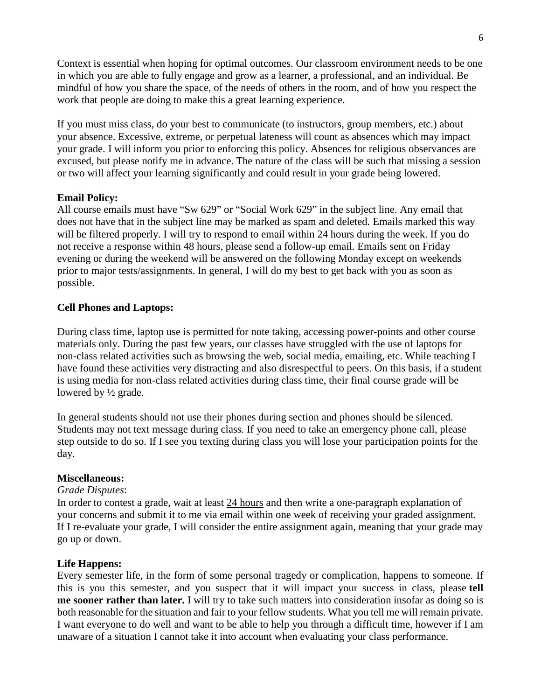Context is essential when hoping for optimal outcomes. Our classroom environment needs to be one in which you are able to fully engage and grow as a learner, a professional, and an individual. Be mindful of how you share the space, of the needs of others in the room, and of how you respect the work that people are doing to make this a great learning experience.

If you must miss class, do your best to communicate (to instructors, group members, etc.) about your absence. Excessive, extreme, or perpetual lateness will count as absences which may impact your grade. I will inform you prior to enforcing this policy. Absences for religious observances are excused, but please notify me in advance. The nature of the class will be such that missing a session or two will affect your learning significantly and could result in your grade being lowered.

#### **Email Policy:**

All course emails must have "Sw 629" or "Social Work 629" in the subject line. Any email that does not have that in the subject line may be marked as spam and deleted. Emails marked this way will be filtered properly. I will try to respond to email within 24 hours during the week. If you do not receive a response within 48 hours, please send a follow-up email. Emails sent on Friday evening or during the weekend will be answered on the following Monday except on weekends prior to major tests/assignments. In general, I will do my best to get back with you as soon as possible.

#### **Cell Phones and Laptops:**

During class time, laptop use is permitted for note taking, accessing power-points and other course materials only. During the past few years, our classes have struggled with the use of laptops for non-class related activities such as browsing the web, social media, emailing, etc. While teaching I have found these activities very distracting and also disrespectful to peers. On this basis, if a student is using media for non-class related activities during class time, their final course grade will be lowered by ½ grade.

In general students should not use their phones during section and phones should be silenced. Students may not text message during class. If you need to take an emergency phone call, please step outside to do so. If I see you texting during class you will lose your participation points for the day.

#### **Miscellaneous:**

#### *Grade Disputes*:

In order to contest a grade, wait at least 24 hours and then write a one-paragraph explanation of your concerns and submit it to me via email within one week of receiving your graded assignment. If I re-evaluate your grade, I will consider the entire assignment again, meaning that your grade may go up or down.

#### **Life Happens:**

Every semester life, in the form of some personal tragedy or complication, happens to someone. If this is you this semester, and you suspect that it will impact your success in class, please **tell me sooner rather than later.** I will try to take such matters into consideration insofar as doing so is both reasonable for the situation and fair to your fellow students. What you tell me will remain private. I want everyone to do well and want to be able to help you through a difficult time, however if I am unaware of a situation I cannot take it into account when evaluating your class performance.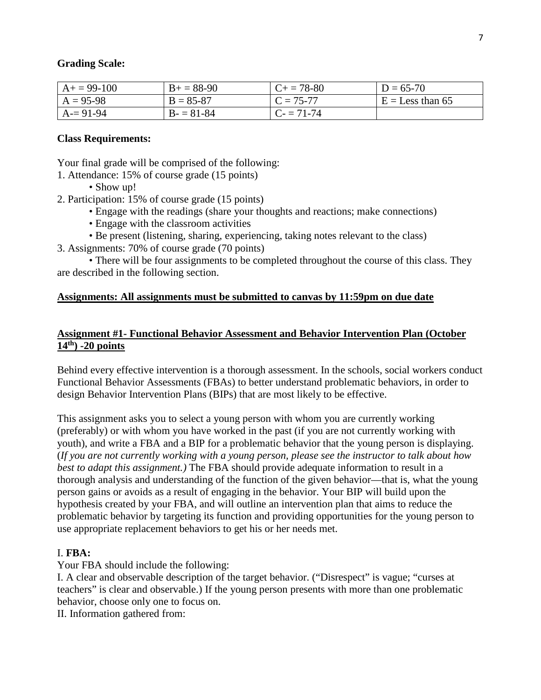#### **Grading Scale:**

| $A+ = 99-100$ | $B+=88-90$    | $C_{+} = 78-80$ | $D = 65 - 70$      |
|---------------|---------------|-----------------|--------------------|
| $A = 95-98$   | $B = 85-87$   | $C = 75-77$     | $E =$ Less than 65 |
| $A = 91-94$   | $B - 81 - 84$ | $C = 71-74$     |                    |

#### **Class Requirements:**

Your final grade will be comprised of the following:

- 1. Attendance: 15% of course grade (15 points)
	- Show up!
- 2. Participation: 15% of course grade (15 points)
	- Engage with the readings (share your thoughts and reactions; make connections)
	- Engage with the classroom activities
	- Be present (listening, sharing, experiencing, taking notes relevant to the class)
- 3. Assignments: 70% of course grade (70 points)

• There will be four assignments to be completed throughout the course of this class. They are described in the following section.

#### **Assignments: All assignments must be submitted to canvas by 11:59pm on due date**

# **Assignment #1- Functional Behavior Assessment and Behavior Intervention Plan (October 14th) -20 points**

Behind every effective intervention is a thorough assessment. In the schools, social workers conduct Functional Behavior Assessments (FBAs) to better understand problematic behaviors, in order to design Behavior Intervention Plans (BIPs) that are most likely to be effective.

This assignment asks you to select a young person with whom you are currently working (preferably) or with whom you have worked in the past (if you are not currently working with youth), and write a FBA and a BIP for a problematic behavior that the young person is displaying. (*If you are not currently working with a young person, please see the instructor to talk about how best to adapt this assignment.)* The FBA should provide adequate information to result in a thorough analysis and understanding of the function of the given behavior—that is, what the young person gains or avoids as a result of engaging in the behavior. Your BIP will build upon the hypothesis created by your FBA, and will outline an intervention plan that aims to reduce the problematic behavior by targeting its function and providing opportunities for the young person to use appropriate replacement behaviors to get his or her needs met.

#### I. **FBA:**

Your FBA should include the following:

I. A clear and observable description of the target behavior. ("Disrespect" is vague; "curses at teachers" is clear and observable.) If the young person presents with more than one problematic behavior, choose only one to focus on.

II. Information gathered from: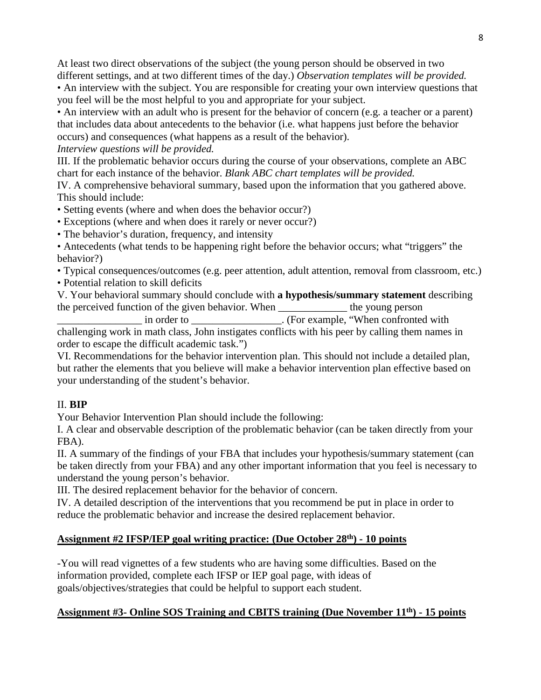At least two direct observations of the subject (the young person should be observed in two different settings, and at two different times of the day.) *Observation templates will be provided.*

• An interview with the subject. You are responsible for creating your own interview questions that you feel will be the most helpful to you and appropriate for your subject.

• An interview with an adult who is present for the behavior of concern (e.g. a teacher or a parent) that includes data about antecedents to the behavior (i.e. what happens just before the behavior occurs) and consequences (what happens as a result of the behavior).

*Interview questions will be provided.*

III. If the problematic behavior occurs during the course of your observations, complete an ABC chart for each instance of the behavior. *Blank ABC chart templates will be provided.*

IV. A comprehensive behavioral summary, based upon the information that you gathered above. This should include:

• Setting events (where and when does the behavior occur?)

• Exceptions (where and when does it rarely or never occur?)

• The behavior's duration, frequency, and intensity

• Antecedents (what tends to be happening right before the behavior occurs; what "triggers" the behavior?)

• Typical consequences/outcomes (e.g. peer attention, adult attention, removal from classroom, etc.)

• Potential relation to skill deficits

V. Your behavioral summary should conclude with **a hypothesis/summary statement** describing the perceived function of the given behavior. When \_\_\_\_\_\_\_\_\_\_\_\_\_ the young person \_\_\_\_\_\_\_\_\_\_\_\_\_\_\_\_ in order to \_\_\_\_\_\_\_\_\_\_\_\_\_\_\_\_\_. (For example, "When confronted with

challenging work in math class, John instigates conflicts with his peer by calling them names in order to escape the difficult academic task.")

VI. Recommendations for the behavior intervention plan. This should not include a detailed plan, but rather the elements that you believe will make a behavior intervention plan effective based on your understanding of the student's behavior.

# II. **BIP**

Your Behavior Intervention Plan should include the following:

I. A clear and observable description of the problematic behavior (can be taken directly from your FBA).

II. A summary of the findings of your FBA that includes your hypothesis/summary statement (can be taken directly from your FBA) and any other important information that you feel is necessary to understand the young person's behavior.

III. The desired replacement behavior for the behavior of concern.

IV. A detailed description of the interventions that you recommend be put in place in order to reduce the problematic behavior and increase the desired replacement behavior.

# **Assignment #2 IFSP/IEP goal writing practice: (Due October 28th) - 10 points**

-You will read vignettes of a few students who are having some difficulties. Based on the information provided, complete each IFSP or IEP goal page, with ideas of goals/objectives/strategies that could be helpful to support each student.

# **Assignment #3- Online SOS Training and CBITS training (Due November 11th) - 15 points**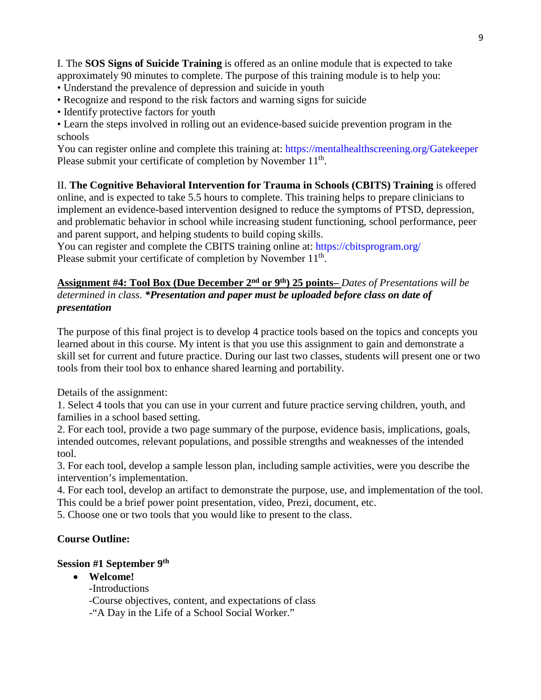I. The **SOS Signs of Suicide Training** is offered as an online module that is expected to take approximately 90 minutes to complete. The purpose of this training module is to help you:

- Understand the prevalence of depression and suicide in youth
- Recognize and respond to the risk factors and warning signs for suicide
- Identify protective factors for youth
- Learn the steps involved in rolling out an evidence-based suicide prevention program in the schools

You can register online and complete this training at: https://mentalhealthscreening.org/Gatekeeper Please submit your certificate of completion by November 11<sup>th</sup>.

II. **The Cognitive Behavioral Intervention for Trauma in Schools (CBITS) Training** is offered online, and is expected to take 5.5 hours to complete. This training helps to prepare clinicians to implement an evidence-based intervention designed to reduce the symptoms of PTSD, depression, and problematic behavior in school while increasing student functioning, school performance, peer and parent support, and helping students to build coping skills.

You can register and complete the CBITS training online at: https://cbitsprogram.org/ Please submit your certificate of completion by November 11<sup>th</sup>.

# **Assignment #4: Tool Box (Due December 2nd or 9th) 25 points–** *Dates of Presentations will be determined in class. \*Presentation and paper must be uploaded before class on date of presentation*

The purpose of this final project is to develop 4 practice tools based on the topics and concepts you learned about in this course. My intent is that you use this assignment to gain and demonstrate a skill set for current and future practice. During our last two classes, students will present one or two tools from their tool box to enhance shared learning and portability.

Details of the assignment:

1. Select 4 tools that you can use in your current and future practice serving children, youth, and families in a school based setting.

2. For each tool, provide a two page summary of the purpose, evidence basis, implications, goals, intended outcomes, relevant populations, and possible strengths and weaknesses of the intended tool.

3. For each tool, develop a sample lesson plan, including sample activities, were you describe the intervention's implementation.

4. For each tool, develop an artifact to demonstrate the purpose, use, and implementation of the tool. This could be a brief power point presentation, video, Prezi, document, etc.

5. Choose one or two tools that you would like to present to the class.

# **Course Outline:**

# **Session #1 September 9th**

- **Welcome!**
	- -Introductions
	- -Course objectives, content, and expectations of class
	- -"A Day in the Life of a School Social Worker."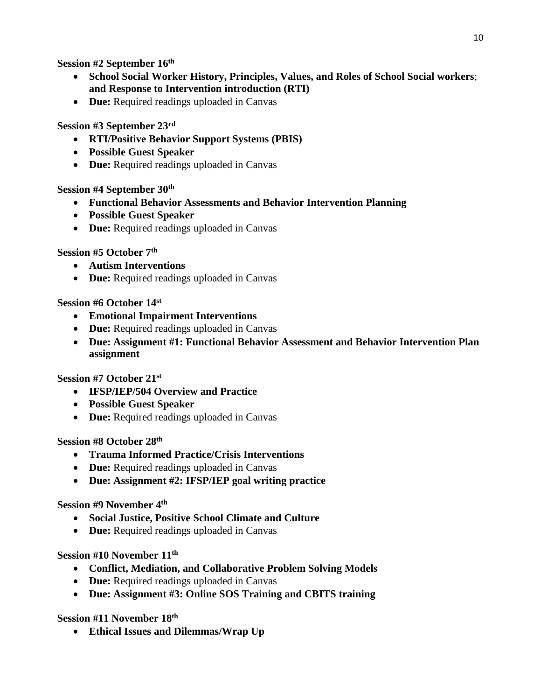# **Session #2 September 16th**

- **School Social Worker History, Principles, Values, and Roles of School Social workers**; **and Response to Intervention introduction (RTI)**
- **Due:** Required readings uploaded in Canvas

# **Session #3 September 23rd**

- **RTI/Positive Behavior Support Systems (PBIS)**
- **Possible Guest Speaker**
- **Due:** Required readings uploaded in Canvas

# **Session #4 September 30th**

- **Functional Behavior Assessments and Behavior Intervention Planning**
- **Possible Guest Speaker**
- **Due:** Required readings uploaded in Canvas

# **Session #5 October 7th**

- **Autism Interventions**
- **Due:** Required readings uploaded in Canvas

# **Session #6 October 14st**

- **Emotional Impairment Interventions**
- **Due:** Required readings uploaded in Canvas
- **Due: Assignment #1: Functional Behavior Assessment and Behavior Intervention Plan assignment**

# **Session #7 October 21st**

- **IFSP/IEP/504 Overview and Practice**
- **Possible Guest Speaker**
- **Due:** Required readings uploaded in Canvas

# **Session #8 October 28th**

- **Trauma Informed Practice/Crisis Interventions**
- **Due:** Required readings uploaded in Canvas
- **Due: Assignment #2: IFSP/IEP goal writing practice**

# **Session #9 November 4th**

- **Social Justice, Positive School Climate and Culture**
- **Due:** Required readings uploaded in Canvas

# **Session #10 November 11th**

- **Conflict, Mediation, and Collaborative Problem Solving Models**
- **Due:** Required readings uploaded in Canvas
- **Due: Assignment #3: Online SOS Training and CBITS training**

# **Session #11 November 18th**

• **Ethical Issues and Dilemmas/Wrap Up**